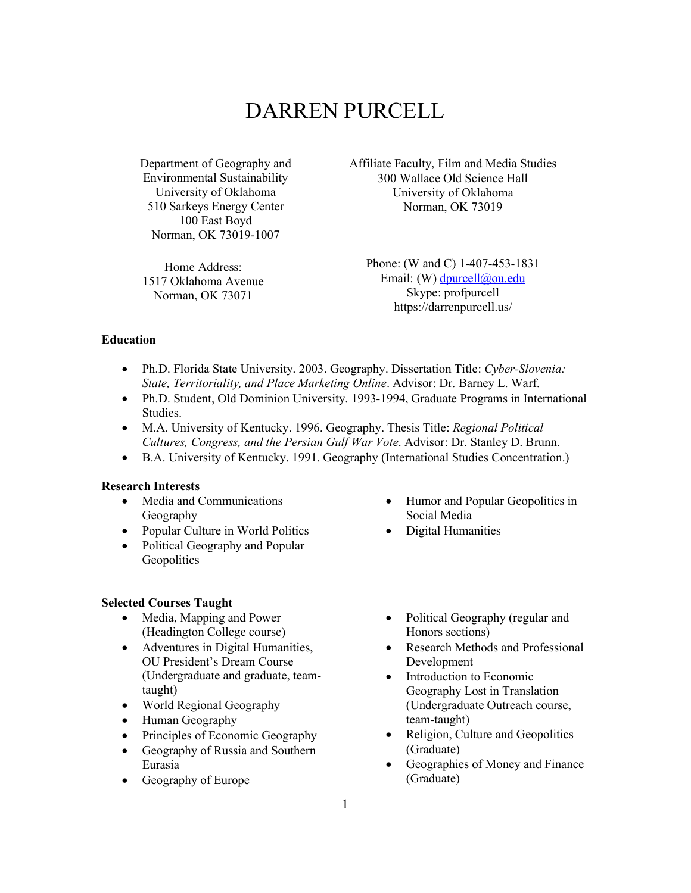# DARREN PURCELL

Department of Geography and Environmental Sustainability University of Oklahoma 510 Sarkeys Energy Center 100 East Boyd Norman, OK 73019-1007

Home Address: 1517 Oklahoma Avenue Norman, OK 73071

Affiliate Faculty, Film and Media Studies 300 Wallace Old Science Hall University of Oklahoma Norman, OK 73019

Phone: (W and C) 1-407-453-1831 Email: (W) dpurcell@ou.edu Skype: profpurcell https://darrenpurcell.us/

## **Education**

- Ph.D. Florida State University. 2003. Geography. Dissertation Title: *Cyber-Slovenia: State, Territoriality, and Place Marketing Online*. Advisor: Dr. Barney L. Warf.
- Ph.D. Student, Old Dominion University. 1993-1994, Graduate Programs in International Studies.
- M.A. University of Kentucky. 1996. Geography. Thesis Title: *Regional Political Cultures, Congress, and the Persian Gulf War Vote*. Advisor: Dr. Stanley D. Brunn.
- B.A. University of Kentucky. 1991. Geography (International Studies Concentration.)

## **Research Interests**

- Media and Communications Geography
- Popular Culture in World Politics
- Political Geography and Popular **Geopolitics**

#### **Selected Courses Taught**

- Media, Mapping and Power (Headington College course)
- Adventures in Digital Humanities, OU President's Dream Course (Undergraduate and graduate, teamtaught)
- World Regional Geography
- Human Geography
- Principles of Economic Geography
- Geography of Russia and Southern Eurasia
- Geography of Europe
- Humor and Popular Geopolitics in Social Media
- Digital Humanities
- Political Geography (regular and Honors sections)
- Research Methods and Professional Development
- Introduction to Economic Geography Lost in Translation (Undergraduate Outreach course, team-taught)
- Religion, Culture and Geopolitics (Graduate)
- Geographies of Money and Finance (Graduate)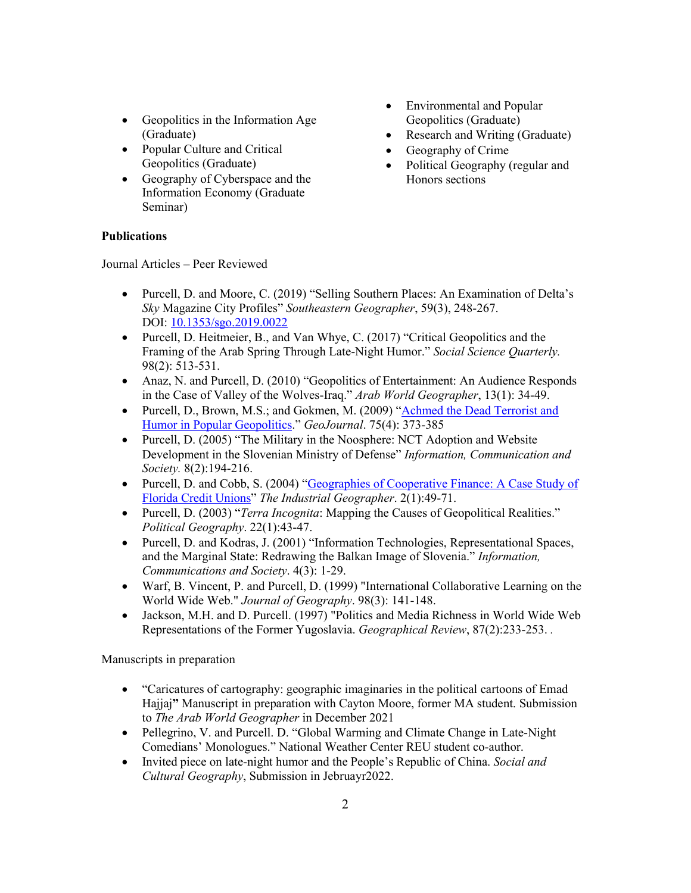- Geopolitics in the Information Age (Graduate)
- Popular Culture and Critical Geopolitics (Graduate)
- Geography of Cyberspace and the Information Economy (Graduate Seminar)
- Environmental and Popular Geopolitics (Graduate)
- Research and Writing (Graduate)
- Geography of Crime
- Political Geography (regular and Honors sections

# **Publications**

Journal Articles – Peer Reviewed

- Purcell, D. and Moore, C. (2019) "Selling Southern Places: An Examination of Delta's *Sky* Magazine City Profiles" *Southeastern Geographer*, 59(3), 248-267. DOI: 10.1353/sgo.2019.0022
- Purcell, D. Heitmeier, B., and Van Whye, C. (2017) "Critical Geopolitics and the Framing of the Arab Spring Through Late-Night Humor." *Social Science Quarterly.* 98(2): 513-531.
- Anaz, N. and Purcell, D. (2010) "Geopolitics of Entertainment: An Audience Responds in the Case of Valley of the Wolves-Iraq." *Arab World Geographer*, 13(1): 34-49.
- Purcell, D., Brown, M.S.; and Gokmen, M. (2009) "Achmed the Dead Terrorist and Humor in Popular Geopolitics." *GeoJournal*. 75(4): 373-385
- Purcell, D. (2005) "The Military in the Noosphere: NCT Adoption and Website Development in the Slovenian Ministry of Defense" *Information, Communication and Society.* 8(2):194-216.
- Purcell, D. and Cobb, S. (2004) "Geographies of Cooperative Finance: A Case Study of Florida Credit Unions" *The Industrial Geographer*. 2(1):49-71.
- Purcell, D. (2003) "*Terra Incognita*: Mapping the Causes of Geopolitical Realities." *Political Geography*. 22(1):43-47.
- Purcell, D. and Kodras, J. (2001) "Information Technologies, Representational Spaces, and the Marginal State: Redrawing the Balkan Image of Slovenia." *Information, Communications and Society*. 4(3): 1-29.
- Warf, B. Vincent, P. and Purcell, D. (1999) "International Collaborative Learning on the World Wide Web." *Journal of Geography*. 98(3): 141-148.
- Jackson, M.H. and D. Purcell. (1997) "Politics and Media Richness in World Wide Web Representations of the Former Yugoslavia. *Geographical Review*, 87(2):233-253. *.*

Manuscripts in preparation

- "Caricatures of cartography: geographic imaginaries in the political cartoons of Emad Hajjaj**"** Manuscript in preparation with Cayton Moore, former MA student. Submission to *The Arab World Geographer* in December 2021
- Pellegrino, V. and Purcell. D. "Global Warming and Climate Change in Late-Night Comedians' Monologues." National Weather Center REU student co-author.
- Invited piece on late-night humor and the People's Republic of China. *Social and Cultural Geography*, Submission in Jebruayr2022.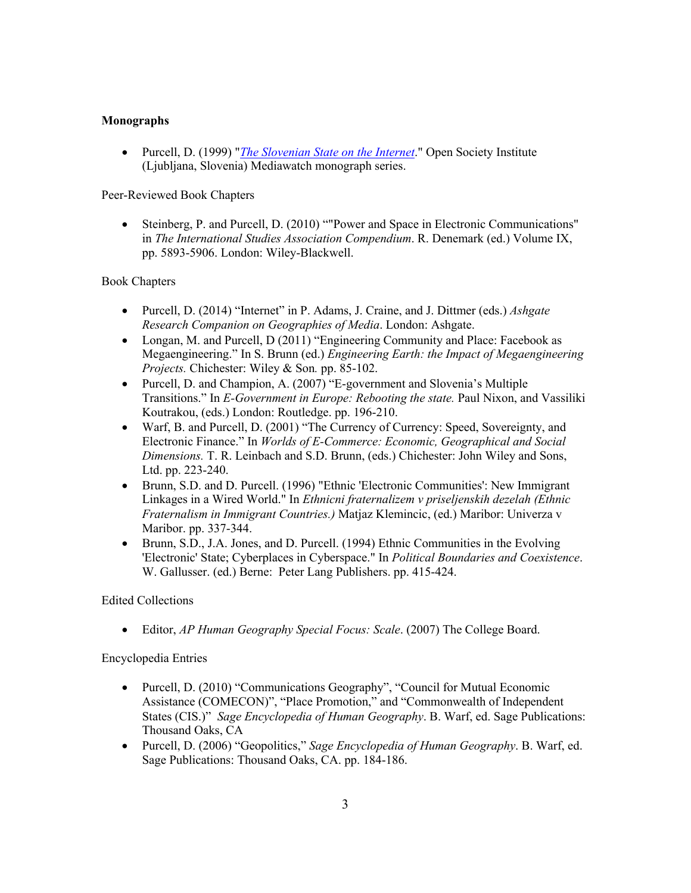# **Monographs**

• Purcell, D. (1999) "*The Slovenian State on the Internet*." Open Society Institute (Ljubljana, Slovenia) Mediawatch monograph series.

## Peer-Reviewed Book Chapters

• Steinberg, P. and Purcell, D. (2010) ""Power and Space in Electronic Communications" in *The International Studies Association Compendium*. R. Denemark (ed.) Volume IX, pp. 5893-5906. London: Wiley-Blackwell.

## Book Chapters

- Purcell, D. (2014) "Internet" in P. Adams, J. Craine, and J. Dittmer (eds.) *Ashgate Research Companion on Geographies of Media*. London: Ashgate.
- Longan, M. and Purcell, D (2011) "Engineering Community and Place: Facebook as Megaengineering." In S. Brunn (ed.) *Engineering Earth: the Impact of Megaengineering Projects.* Chichester: Wiley & Son*.* pp. 85-102.
- Purcell, D. and Champion, A. (2007) "E-government and Slovenia's Multiple Transitions." In *E-Government in Europe: Rebooting the state.* Paul Nixon, and Vassiliki Koutrakou, (eds.) London: Routledge. pp. 196-210.
- Warf, B. and Purcell, D. (2001) "The Currency of Currency: Speed, Sovereignty, and Electronic Finance." In *Worlds of E-Commerce: Economic, Geographical and Social Dimensions.* T. R. Leinbach and S.D. Brunn, (eds.) Chichester: John Wiley and Sons, Ltd. pp. 223-240.
- Brunn, S.D. and D. Purcell. (1996) "Ethnic 'Electronic Communities': New Immigrant Linkages in a Wired World." In *Ethnicni fraternalizem v priseljenskih dezelah (Ethnic Fraternalism in Immigrant Countries.)* Matjaz Klemincic, (ed.) Maribor: Univerza v Maribor. pp. 337-344.
- Brunn, S.D., J.A. Jones, and D. Purcell. (1994) Ethnic Communities in the Evolving 'Electronic' State; Cyberplaces in Cyberspace." In *Political Boundaries and Coexistence*. W. Gallusser. (ed.) Berne: Peter Lang Publishers. pp. 415-424.

# Edited Collections

• Editor, *AP Human Geography Special Focus: Scale*. (2007) The College Board.

Encyclopedia Entries

- Purcell, D. (2010) "Communications Geography", "Council for Mutual Economic Assistance (COMECON)", "Place Promotion," and "Commonwealth of Independent States (CIS.)" *Sage Encyclopedia of Human Geography*. B. Warf, ed. Sage Publications: Thousand Oaks, CA
- Purcell, D. (2006) "Geopolitics," *Sage Encyclopedia of Human Geography*. B. Warf, ed. Sage Publications: Thousand Oaks, CA. pp. 184-186.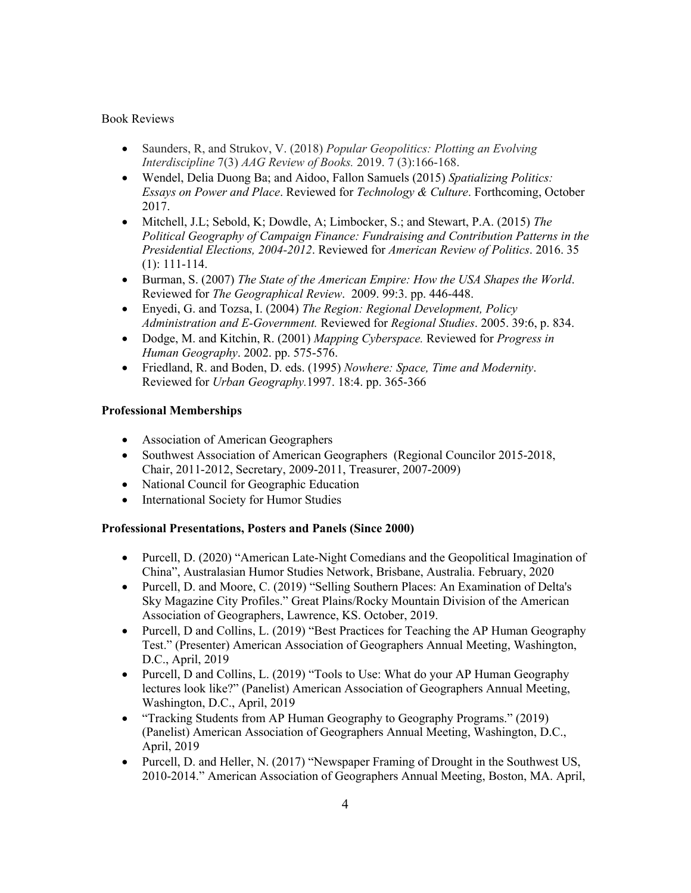#### Book Reviews

- Saunders, R, and Strukov, V. (2018) *Popular Geopolitics: Plotting an Evolving Interdiscipline* 7(3) *AAG Review of Books.* 2019. 7 (3):166-168.
- Wendel, Delia Duong Ba; and Aidoo, Fallon Samuels (2015) *Spatializing Politics: Essays on Power and Place*. Reviewed for *Technology & Culture*. Forthcoming, October 2017.
- Mitchell, J.L; Sebold, K; Dowdle, A; Limbocker, S.; and Stewart, P.A. (2015) *The Political Geography of Campaign Finance: Fundraising and Contribution Patterns in the Presidential Elections, 2004-2012*. Reviewed for *American Review of Politics*. 2016. 35 (1): 111-114.
- Burman, S. (2007) *The State of the American Empire: How the USA Shapes the World*. Reviewed for *The Geographical Review*. 2009. 99:3. pp. 446-448.
- Enyedi, G. and Tozsa, I. (2004) *The Region: Regional Development, Policy Administration and E-Government.* Reviewed for *Regional Studies*. 2005. 39:6, p. 834.
- Dodge, M. and Kitchin, R. (2001) *Mapping Cyberspace.* Reviewed for *Progress in Human Geography*. 2002. pp. 575-576.
- Friedland, R. and Boden, D. eds. (1995) *Nowhere: Space, Time and Modernity*. Reviewed for *Urban Geography.*1997. 18:4. pp. 365-366

## **Professional Memberships**

- Association of American Geographers
- Southwest Association of American Geographers (Regional Councilor 2015-2018, Chair, 2011-2012, Secretary, 2009-2011, Treasurer, 2007-2009)
- National Council for Geographic Education
- International Society for Humor Studies

# **Professional Presentations, Posters and Panels (Since 2000)**

- Purcell, D. (2020) "American Late-Night Comedians and the Geopolitical Imagination of China", Australasian Humor Studies Network, Brisbane, Australia. February, 2020
- Purcell, D. and Moore, C. (2019) "Selling Southern Places: An Examination of Delta's Sky Magazine City Profiles." Great Plains/Rocky Mountain Division of the American Association of Geographers, Lawrence, KS. October, 2019.
- Purcell, D and Collins, L. (2019) "Best Practices for Teaching the AP Human Geography Test." (Presenter) American Association of Geographers Annual Meeting, Washington, D.C., April, 2019
- Purcell, D and Collins, L. (2019) "Tools to Use: What do your AP Human Geography lectures look like?" (Panelist) American Association of Geographers Annual Meeting, Washington, D.C., April, 2019
- "Tracking Students from AP Human Geography to Geography Programs." (2019) (Panelist) American Association of Geographers Annual Meeting, Washington, D.C., April, 2019
- Purcell, D. and Heller, N. (2017) "Newspaper Framing of Drought in the Southwest US, 2010-2014." American Association of Geographers Annual Meeting, Boston, MA. April,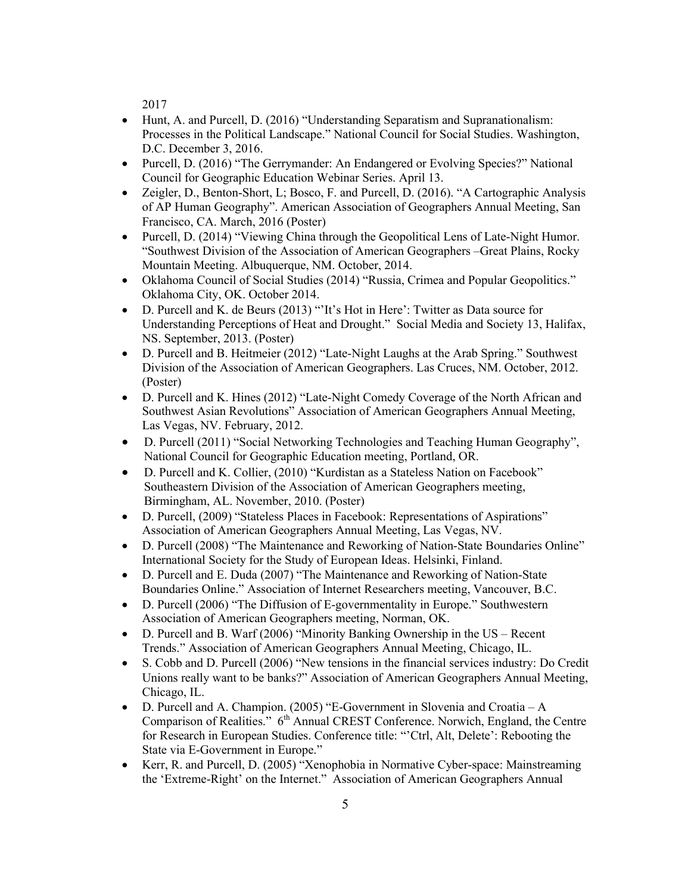2017

- Hunt, A. and Purcell, D. (2016) "Understanding Separatism and Supranationalism: Processes in the Political Landscape." National Council for Social Studies. Washington, D.C. December 3, 2016.
- Purcell, D. (2016) "The Gerrymander: An Endangered or Evolving Species?" National Council for Geographic Education Webinar Series. April 13.
- Zeigler, D., Benton-Short, L; Bosco, F. and Purcell, D. (2016). "A Cartographic Analysis of AP Human Geography". American Association of Geographers Annual Meeting, San Francisco, CA. March, 2016 (Poster)
- Purcell, D. (2014) "Viewing China through the Geopolitical Lens of Late-Night Humor. "Southwest Division of the Association of American Geographers –Great Plains, Rocky Mountain Meeting. Albuquerque, NM. October, 2014.
- Oklahoma Council of Social Studies (2014) "Russia, Crimea and Popular Geopolitics." Oklahoma City, OK. October 2014.
- D. Purcell and K. de Beurs (2013) "'It's Hot in Here': Twitter as Data source for Understanding Perceptions of Heat and Drought." Social Media and Society 13, Halifax, NS. September, 2013. (Poster)
- D. Purcell and B. Heitmeier (2012) "Late-Night Laughs at the Arab Spring." Southwest Division of the Association of American Geographers. Las Cruces, NM. October, 2012. (Poster)
- D. Purcell and K. Hines (2012) "Late-Night Comedy Coverage of the North African and Southwest Asian Revolutions" Association of American Geographers Annual Meeting, Las Vegas, NV. February, 2012.
- D. Purcell (2011) "Social Networking Technologies and Teaching Human Geography", National Council for Geographic Education meeting, Portland, OR.
- D. Purcell and K. Collier, (2010) "Kurdistan as a Stateless Nation on Facebook" Southeastern Division of the Association of American Geographers meeting, Birmingham, AL. November, 2010. (Poster)
- D. Purcell, (2009) "Stateless Places in Facebook: Representations of Aspirations" Association of American Geographers Annual Meeting, Las Vegas, NV.
- D. Purcell (2008) "The Maintenance and Reworking of Nation-State Boundaries Online" International Society for the Study of European Ideas. Helsinki, Finland.
- D. Purcell and E. Duda (2007) "The Maintenance and Reworking of Nation-State Boundaries Online." Association of Internet Researchers meeting, Vancouver, B.C.
- D. Purcell (2006) "The Diffusion of E-governmentality in Europe." Southwestern Association of American Geographers meeting, Norman, OK.
- D. Purcell and B. Warf (2006) "Minority Banking Ownership in the US Recent Trends." Association of American Geographers Annual Meeting, Chicago, IL.
- S. Cobb and D. Purcell (2006) "New tensions in the financial services industry: Do Credit Unions really want to be banks?" Association of American Geographers Annual Meeting, Chicago, IL.
- D. Purcell and A. Champion. (2005) "E-Government in Slovenia and Croatia A Comparison of Realities." 6<sup>th</sup> Annual CREST Conference. Norwich, England, the Centre for Research in European Studies. Conference title: "'Ctrl, Alt, Delete': Rebooting the State via E-Government in Europe."
- Kerr, R. and Purcell, D. (2005) "Xenophobia in Normative Cyber-space: Mainstreaming the 'Extreme-Right' on the Internet." Association of American Geographers Annual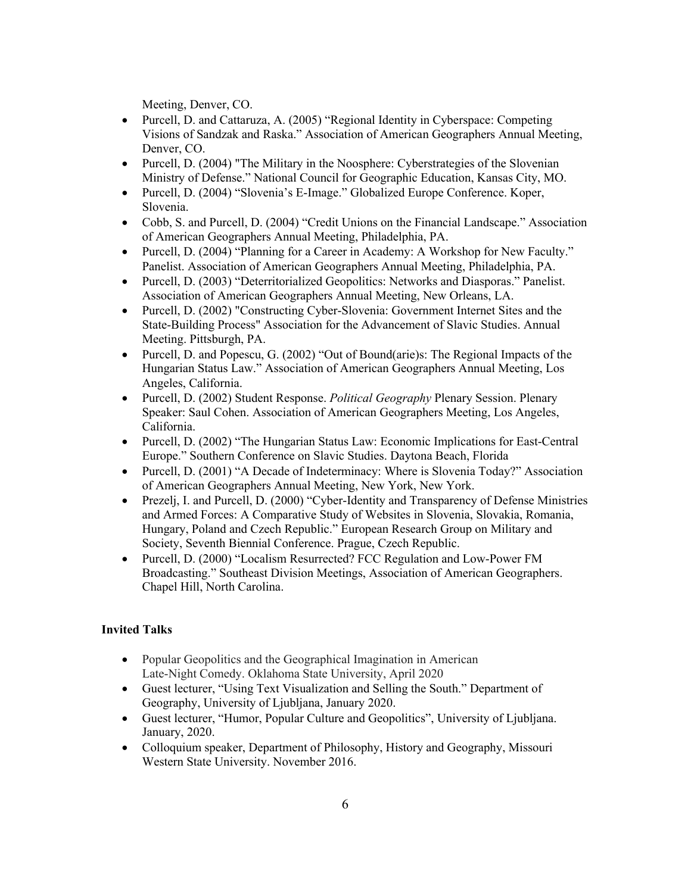Meeting, Denver, CO.

- Purcell, D. and Cattaruza, A. (2005) "Regional Identity in Cyberspace: Competing Visions of Sandzak and Raska." Association of American Geographers Annual Meeting, Denver, CO.
- Purcell, D. (2004) "The Military in the Noosphere: Cyberstrategies of the Slovenian Ministry of Defense." National Council for Geographic Education, Kansas City, MO.
- Purcell, D. (2004) "Slovenia's E-Image." Globalized Europe Conference. Koper, Slovenia.
- Cobb, S. and Purcell, D. (2004) "Credit Unions on the Financial Landscape." Association of American Geographers Annual Meeting, Philadelphia, PA.
- Purcell, D. (2004) "Planning for a Career in Academy: A Workshop for New Faculty." Panelist. Association of American Geographers Annual Meeting, Philadelphia, PA.
- Purcell, D. (2003) "Deterritorialized Geopolitics: Networks and Diasporas." Panelist. Association of American Geographers Annual Meeting, New Orleans, LA.
- Purcell, D. (2002) "Constructing Cyber-Slovenia: Government Internet Sites and the State-Building Process" Association for the Advancement of Slavic Studies. Annual Meeting. Pittsburgh, PA.
- Purcell, D. and Popescu, G. (2002) "Out of Bound(arie)s: The Regional Impacts of the Hungarian Status Law." Association of American Geographers Annual Meeting, Los Angeles, California.
- Purcell, D. (2002) Student Response. *Political Geography* Plenary Session. Plenary Speaker: Saul Cohen. Association of American Geographers Meeting, Los Angeles, California.
- Purcell, D. (2002) "The Hungarian Status Law: Economic Implications for East-Central Europe." Southern Conference on Slavic Studies. Daytona Beach, Florida
- Purcell, D. (2001) "A Decade of Indeterminacy: Where is Slovenia Today?" Association of American Geographers Annual Meeting, New York, New York.
- Prezelj, I. and Purcell, D. (2000) "Cyber-Identity and Transparency of Defense Ministries and Armed Forces: A Comparative Study of Websites in Slovenia, Slovakia, Romania, Hungary, Poland and Czech Republic." European Research Group on Military and Society, Seventh Biennial Conference. Prague, Czech Republic.
- Purcell, D. (2000) "Localism Resurrected? FCC Regulation and Low-Power FM Broadcasting." Southeast Division Meetings, Association of American Geographers. Chapel Hill, North Carolina.

# **Invited Talks**

- Popular Geopolitics and the Geographical Imagination in American Late-Night Comedy. Oklahoma State University, April 2020
- Guest lecturer, "Using Text Visualization and Selling the South." Department of Geography, University of Ljubljana, January 2020.
- Guest lecturer, "Humor, Popular Culture and Geopolitics", University of Ljubljana. January, 2020.
- Colloquium speaker, Department of Philosophy, History and Geography, Missouri Western State University. November 2016.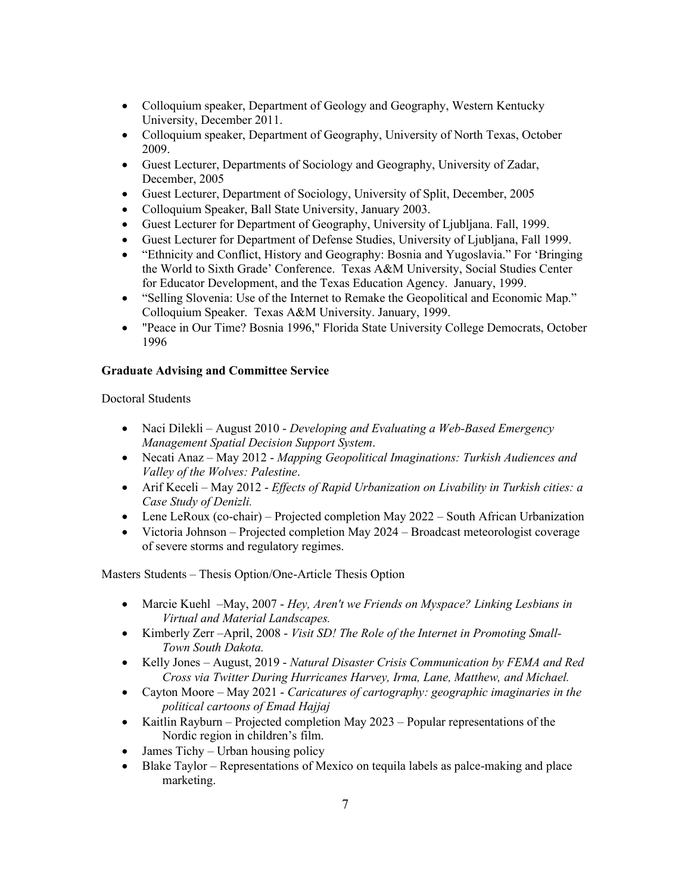- Colloquium speaker, Department of Geology and Geography, Western Kentucky University, December 2011.
- Colloquium speaker, Department of Geography, University of North Texas, October 2009.
- Guest Lecturer, Departments of Sociology and Geography, University of Zadar, December, 2005
- Guest Lecturer, Department of Sociology, University of Split, December, 2005
- Colloquium Speaker, Ball State University, January 2003.
- Guest Lecturer for Department of Geography, University of Ljubljana. Fall, 1999.
- Guest Lecturer for Department of Defense Studies, University of Ljubljana, Fall 1999.
- "Ethnicity and Conflict, History and Geography: Bosnia and Yugoslavia." For 'Bringing the World to Sixth Grade' Conference. Texas A&M University, Social Studies Center for Educator Development, and the Texas Education Agency. January, 1999.
- "Selling Slovenia: Use of the Internet to Remake the Geopolitical and Economic Map." Colloquium Speaker. Texas A&M University. January, 1999.
- "Peace in Our Time? Bosnia 1996," Florida State University College Democrats, October 1996

# **Graduate Advising and Committee Service**

Doctoral Students

- Naci Dilekli August 2010 *Developing and Evaluating a Web-Based Emergency Management Spatial Decision Support System*.
- Necati Anaz May 2012 *Mapping Geopolitical Imaginations: Turkish Audiences and Valley of the Wolves: Palestine*.
- Arif Keceli May 2012 *Effects of Rapid Urbanization on Livability in Turkish cities: a Case Study of Denizli.*
- Lene LeRoux (co-chair) Projected completion May 2022 South African Urbanization
- Victoria Johnson Projected completion May 2024 Broadcast meteorologist coverage of severe storms and regulatory regimes.

Masters Students – Thesis Option/One-Article Thesis Option

- Marcie Kuehl –May, 2007 *Hey, Aren't we Friends on Myspace? Linking Lesbians in Virtual and Material Landscapes.*
- Kimberly Zerr –April, 2008 *Visit SD! The Role of the Internet in Promoting Small-Town South Dakota.*
- Kelly Jones August, 2019 *Natural Disaster Crisis Communication by FEMA and Red Cross via Twitter During Hurricanes Harvey, Irma, Lane, Matthew, and Michael.*
- Cayton Moore May 2021 *Caricatures of cartography: geographic imaginaries in the political cartoons of Emad Hajjaj*
- Kaitlin Rayburn Projected completion May 2023 Popular representations of the Nordic region in children's film.
- James Tichy Urban housing policy
- Blake Taylor Representations of Mexico on tequila labels as palce-making and place marketing.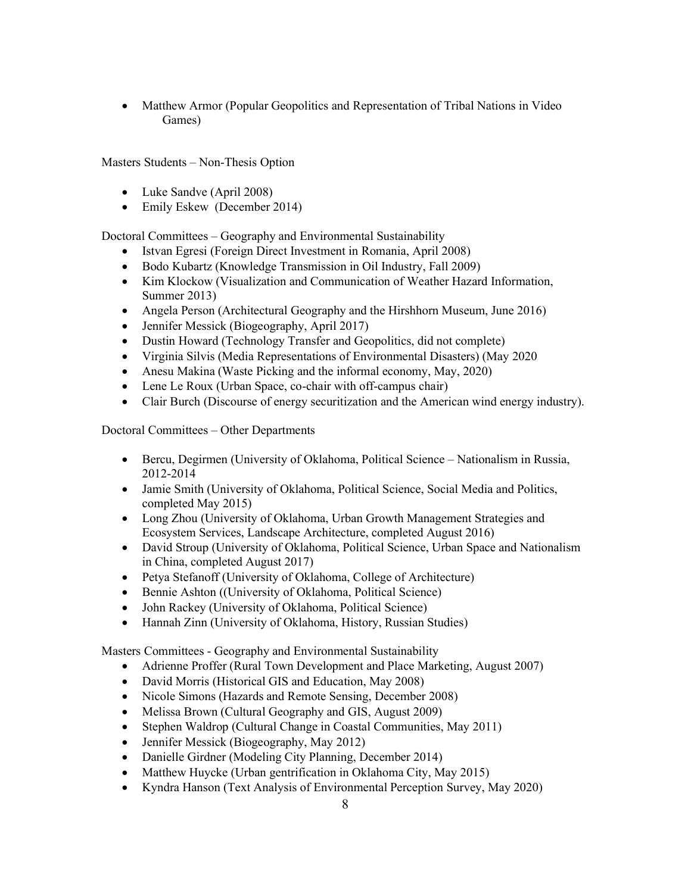• Matthew Armor (Popular Geopolitics and Representation of Tribal Nations in Video Games)

Masters Students – Non-Thesis Option

- Luke Sandve (April 2008)
- Emily Eskew (December 2014)

Doctoral Committees – Geography and Environmental Sustainability

- Istvan Egresi (Foreign Direct Investment in Romania, April 2008)
- Bodo Kubartz (Knowledge Transmission in Oil Industry, Fall 2009)
- Kim Klockow (Visualization and Communication of Weather Hazard Information, Summer 2013)
- Angela Person (Architectural Geography and the Hirshhorn Museum, June 2016)
- Jennifer Messick (Biogeography, April 2017)
- Dustin Howard (Technology Transfer and Geopolitics, did not complete)
- Virginia Silvis (Media Representations of Environmental Disasters) (May 2020
- Anesu Makina (Waste Picking and the informal economy, May, 2020)
- Lene Le Roux (Urban Space, co-chair with off-campus chair)
- Clair Burch (Discourse of energy securitization and the American wind energy industry).

Doctoral Committees – Other Departments

- Bercu, Degirmen (University of Oklahoma, Political Science Nationalism in Russia, 2012-2014
- Jamie Smith (University of Oklahoma, Political Science, Social Media and Politics, completed May 2015)
- Long Zhou (University of Oklahoma, Urban Growth Management Strategies and Ecosystem Services, Landscape Architecture, completed August 2016)
- David Stroup (University of Oklahoma, Political Science, Urban Space and Nationalism in China, completed August 2017)
- Petya Stefanoff (University of Oklahoma, College of Architecture)
- Bennie Ashton ((University of Oklahoma, Political Science)
- John Rackey (University of Oklahoma, Political Science)
- Hannah Zinn (University of Oklahoma, History, Russian Studies)

Masters Committees - Geography and Environmental Sustainability

- Adrienne Proffer (Rural Town Development and Place Marketing, August 2007)
- David Morris (Historical GIS and Education, May 2008)
- Nicole Simons (Hazards and Remote Sensing, December 2008)
- Melissa Brown (Cultural Geography and GIS, August 2009)
- Stephen Waldrop (Cultural Change in Coastal Communities, May 2011)
- Jennifer Messick (Biogeography, May 2012)
- Danielle Girdner (Modeling City Planning, December 2014)
- Matthew Huycke (Urban gentrification in Oklahoma City, May 2015)
- Kyndra Hanson (Text Analysis of Environmental Perception Survey, May 2020)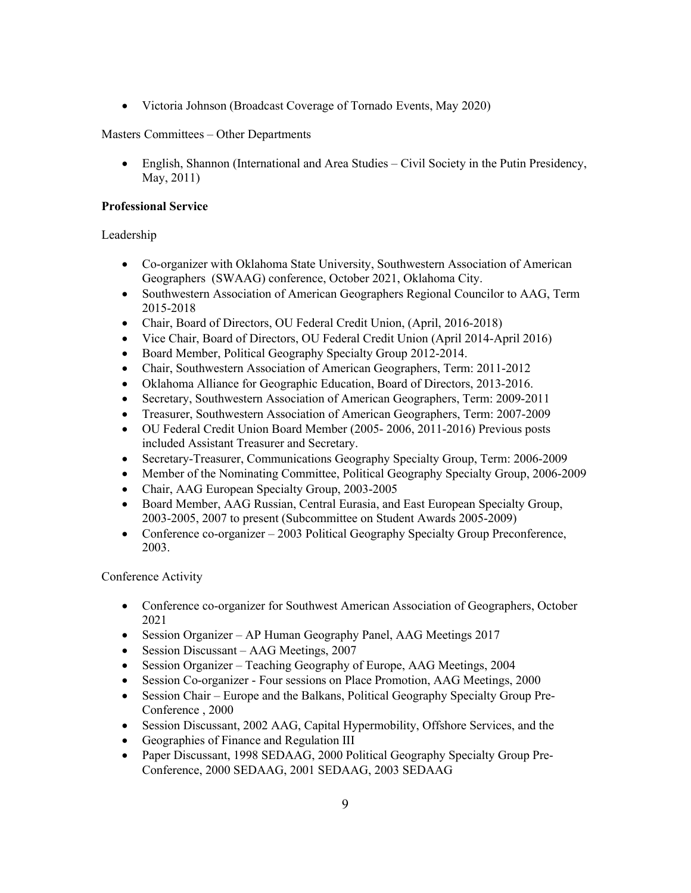• Victoria Johnson (Broadcast Coverage of Tornado Events, May 2020)

## Masters Committees – Other Departments

• English, Shannon (International and Area Studies – Civil Society in the Putin Presidency, May, 2011)

## **Professional Service**

# Leadership

- Co-organizer with Oklahoma State University, Southwestern Association of American Geographers (SWAAG) conference, October 2021, Oklahoma City.
- Southwestern Association of American Geographers Regional Councilor to AAG, Term 2015-2018
- Chair, Board of Directors, OU Federal Credit Union, (April, 2016-2018)
- Vice Chair, Board of Directors, OU Federal Credit Union (April 2014-April 2016)
- Board Member, Political Geography Specialty Group 2012-2014.
- Chair, Southwestern Association of American Geographers, Term: 2011-2012
- Oklahoma Alliance for Geographic Education, Board of Directors, 2013-2016.
- Secretary, Southwestern Association of American Geographers, Term: 2009-2011
- Treasurer, Southwestern Association of American Geographers, Term: 2007-2009
- OU Federal Credit Union Board Member (2005- 2006, 2011-2016) Previous posts included Assistant Treasurer and Secretary.
- Secretary-Treasurer, Communications Geography Specialty Group, Term: 2006-2009
- Member of the Nominating Committee, Political Geography Specialty Group, 2006-2009
- Chair, AAG European Specialty Group, 2003-2005
- Board Member, AAG Russian, Central Eurasia, and East European Specialty Group, 2003-2005, 2007 to present (Subcommittee on Student Awards 2005-2009)
- Conference co-organizer 2003 Political Geography Specialty Group Preconference, 2003.

# Conference Activity

- Conference co-organizer for Southwest American Association of Geographers, October 2021
- Session Organizer AP Human Geography Panel, AAG Meetings 2017
- Session Discussant AAG Meetings, 2007
- Session Organizer Teaching Geography of Europe, AAG Meetings, 2004
- Session Co-organizer Four sessions on Place Promotion, AAG Meetings, 2000
- Session Chair Europe and the Balkans, Political Geography Specialty Group Pre-Conference , 2000
- Session Discussant, 2002 AAG, Capital Hypermobility, Offshore Services, and the
- Geographies of Finance and Regulation III
- Paper Discussant, 1998 SEDAAG, 2000 Political Geography Specialty Group Pre-Conference, 2000 SEDAAG, 2001 SEDAAG, 2003 SEDAAG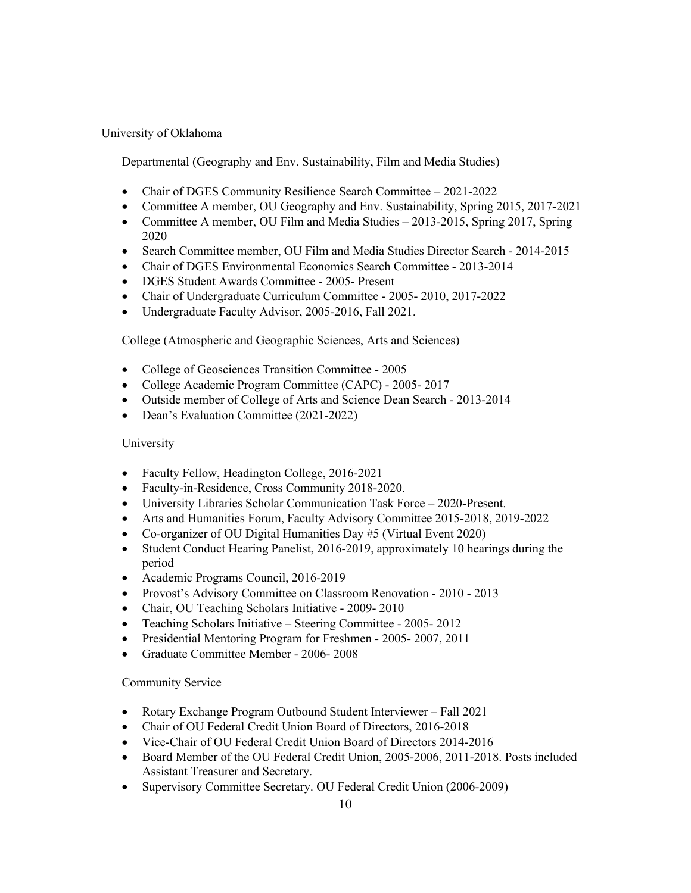# University of Oklahoma

Departmental (Geography and Env. Sustainability, Film and Media Studies)

- Chair of DGES Community Resilience Search Committee 2021-2022
- Committee A member, OU Geography and Env. Sustainability, Spring 2015, 2017-2021
- Committee A member, OU Film and Media Studies 2013-2015, Spring 2017, Spring 2020
- Search Committee member, OU Film and Media Studies Director Search 2014-2015
- Chair of DGES Environmental Economics Search Committee 2013-2014
- DGES Student Awards Committee 2005- Present
- Chair of Undergraduate Curriculum Committee 2005- 2010, 2017-2022
- Undergraduate Faculty Advisor, 2005-2016, Fall 2021.

College (Atmospheric and Geographic Sciences, Arts and Sciences)

- College of Geosciences Transition Committee 2005
- College Academic Program Committee (CAPC) 2005- 2017
- Outside member of College of Arts and Science Dean Search 2013-2014
- Dean's Evaluation Committee (2021-2022)

## University

- Faculty Fellow, Headington College, 2016-2021
- Faculty-in-Residence, Cross Community 2018-2020.
- University Libraries Scholar Communication Task Force 2020-Present.
- Arts and Humanities Forum, Faculty Advisory Committee 2015-2018, 2019-2022
- Co-organizer of OU Digital Humanities Day #5 (Virtual Event 2020)
- Student Conduct Hearing Panelist, 2016-2019, approximately 10 hearings during the period
- Academic Programs Council, 2016-2019
- Provost's Advisory Committee on Classroom Renovation 2010 2013
- Chair, OU Teaching Scholars Initiative 2009- 2010
- Teaching Scholars Initiative Steering Committee 2005- 2012
- Presidential Mentoring Program for Freshmen 2005- 2007, 2011
- Graduate Committee Member 2006- 2008

# Community Service

- Rotary Exchange Program Outbound Student Interviewer Fall 2021
- Chair of OU Federal Credit Union Board of Directors, 2016-2018
- Vice-Chair of OU Federal Credit Union Board of Directors 2014-2016
- Board Member of the OU Federal Credit Union, 2005-2006, 2011-2018. Posts included Assistant Treasurer and Secretary.
- Supervisory Committee Secretary. OU Federal Credit Union (2006-2009)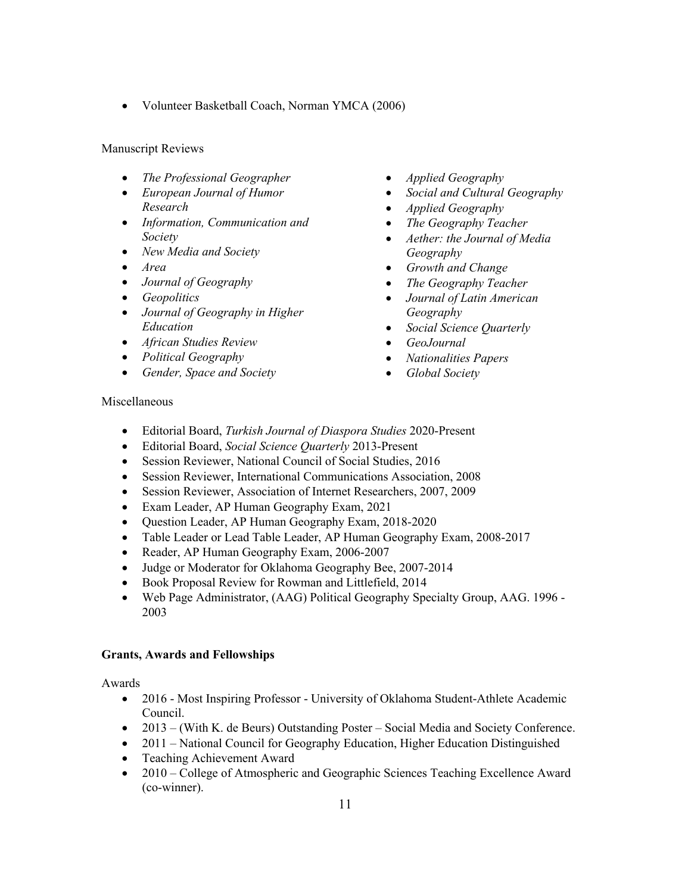• Volunteer Basketball Coach, Norman YMCA (2006)

## Manuscript Reviews

- *The Professional Geographer*
- *European Journal of Humor Research*
- *Information, Communication and Society*
- *New Media and Society*
- *Area*
- *Journal of Geography*
- *Geopolitics*
- *Journal of Geography in Higher Education*
- *African Studies Review*
- *Political Geography*
- *Gender, Space and Society*
- *Applied Geography*
- *Social and Cultural Geography*
- *Applied Geography*
- *The Geography Teacher*
- *Aether: the Journal of Media Geography*
- *Growth and Change*
- *The Geography Teacher*
- *Journal of Latin American Geography*
- *Social Science Quarterly*
- *GeoJournal*
- *Nationalities Papers*
- *Global Society*

#### Miscellaneous

- Editorial Board, *Turkish Journal of Diaspora Studies* 2020-Present
- Editorial Board, *Social Science Quarterly* 2013-Present
- Session Reviewer, National Council of Social Studies, 2016
- Session Reviewer, International Communications Association, 2008
- Session Reviewer, Association of Internet Researchers, 2007, 2009
- Exam Leader, AP Human Geography Exam, 2021
- Question Leader, AP Human Geography Exam, 2018-2020
- Table Leader or Lead Table Leader, AP Human Geography Exam, 2008-2017
- Reader, AP Human Geography Exam, 2006-2007
- Judge or Moderator for Oklahoma Geography Bee, 2007-2014
- Book Proposal Review for Rowman and Littlefield, 2014
- Web Page Administrator, (AAG) Political Geography Specialty Group, AAG. 1996 2003

#### **Grants, Awards and Fellowships**

Awards

- 2016 Most Inspiring Professor University of Oklahoma Student-Athlete Academic Council.
- 2013 (With K. de Beurs) Outstanding Poster Social Media and Society Conference.
- 2011 National Council for Geography Education, Higher Education Distinguished
- Teaching Achievement Award
- 2010 College of Atmospheric and Geographic Sciences Teaching Excellence Award (co-winner).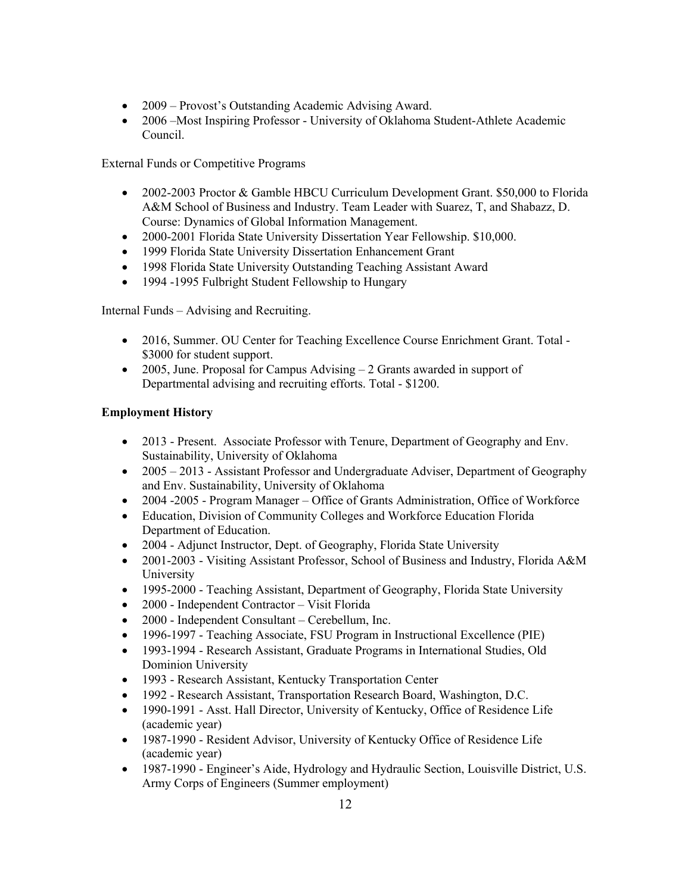- 2009 Provost's Outstanding Academic Advising Award.
- 2006 Most Inspiring Professor University of Oklahoma Student-Athlete Academic Council.

External Funds or Competitive Programs

- 2002-2003 Proctor & Gamble HBCU Curriculum Development Grant. \$50,000 to Florida A&M School of Business and Industry. Team Leader with Suarez, T, and Shabazz, D. Course: Dynamics of Global Information Management.
- 2000-2001 Florida State University Dissertation Year Fellowship. \$10,000.
- 1999 Florida State University Dissertation Enhancement Grant
- 1998 Florida State University Outstanding Teaching Assistant Award
- 1994 -1995 Fulbright Student Fellowship to Hungary

Internal Funds – Advising and Recruiting.

- 2016, Summer. OU Center for Teaching Excellence Course Enrichment Grant. Total \$3000 for student support.
- 2005, June. Proposal for Campus Advising 2 Grants awarded in support of Departmental advising and recruiting efforts. Total - \$1200.

## **Employment History**

- 2013 Present. Associate Professor with Tenure, Department of Geography and Env. Sustainability, University of Oklahoma
- 2005 2013 Assistant Professor and Undergraduate Adviser, Department of Geography and Env. Sustainability, University of Oklahoma
- 2004 -2005 Program Manager Office of Grants Administration, Office of Workforce
- Education, Division of Community Colleges and Workforce Education Florida Department of Education.
- 2004 Adjunct Instructor, Dept. of Geography, Florida State University
- 2001-2003 Visiting Assistant Professor, School of Business and Industry, Florida A&M University
- 1995-2000 Teaching Assistant, Department of Geography, Florida State University
- 2000 Independent Contractor Visit Florida
- 2000 Independent Consultant Cerebellum, Inc.
- 1996-1997 Teaching Associate, FSU Program in Instructional Excellence (PIE)
- 1993-1994 Research Assistant, Graduate Programs in International Studies, Old Dominion University
- 1993 Research Assistant, Kentucky Transportation Center
- 1992 Research Assistant, Transportation Research Board, Washington, D.C.
- 1990-1991 Asst. Hall Director, University of Kentucky, Office of Residence Life (academic year)
- 1987-1990 Resident Advisor, University of Kentucky Office of Residence Life (academic year)
- 1987-1990 Engineer's Aide, Hydrology and Hydraulic Section, Louisville District, U.S. Army Corps of Engineers (Summer employment)